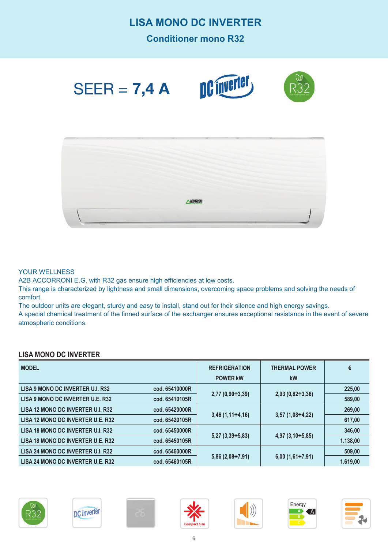## **LISA MONO DC INVERTER**

**Conditioner mono R32**



#### YOUR WELLNESS

A2B ACCORRONI E.G. with R32 gas ensure high efficiencies at low costs.

This range is characterized by lightness and small dimensions, overcoming space problems and solving the needs of comfort.

The outdoor units are elegant, sturdy and easy to install, stand out for their silence and high energy savings.

A special chemical treatment of the finned surface of the exchanger ensures exceptional resistance in the event of severe atmospheric conditions.

### **LISA MONO DC INVERTER**

| <b>MODEL</b>                      |                | <b>REFRIGERATION</b><br><b>POWER kW</b> | <b>THERMAL POWER</b><br>kW | €        |
|-----------------------------------|----------------|-----------------------------------------|----------------------------|----------|
| LISA 9 MONO DC INVERTER U.I. R32  | cod. 65410000R |                                         | $2,93(0,82 \div 3,36)$     | 225,00   |
| LISA 9 MONO DC INVERTER U.E. R32  | cod. 65410105R | $2,77(0,90 \div 3,39)$                  |                            | 589,00   |
| LISA 12 MONO DC INVERTER U.I. R32 | cod. 65420000R |                                         | $3,57$ (1,08÷4,22)         | 269,00   |
| LISA 12 MONO DC INVERTER U.E. R32 | cod. 65420105R | $3,46$ (1,11÷4,16)                      |                            | 617,00   |
| LISA 18 MONO DC INVERTER U.I. R32 | cod. 65450000R |                                         | $4,97$ $(3,10 \div 5,85)$  | 346,00   |
| LISA 18 MONO DC INVERTER U.E. R32 | cod. 65450105R | $5,27$ $(3,39 \div 5,83)$               |                            | 1.138,00 |
| LISA 24 MONO DC INVERTER U.I. R32 | cod. 65460000R |                                         | $6,00(1,61\div7,91)$       | 509,00   |
| LISA 24 MONO DC INVERTER U.E. R32 | cod. 65460105R | $5,86(2,08 \div 7,91)$                  |                            | 1.619,00 |